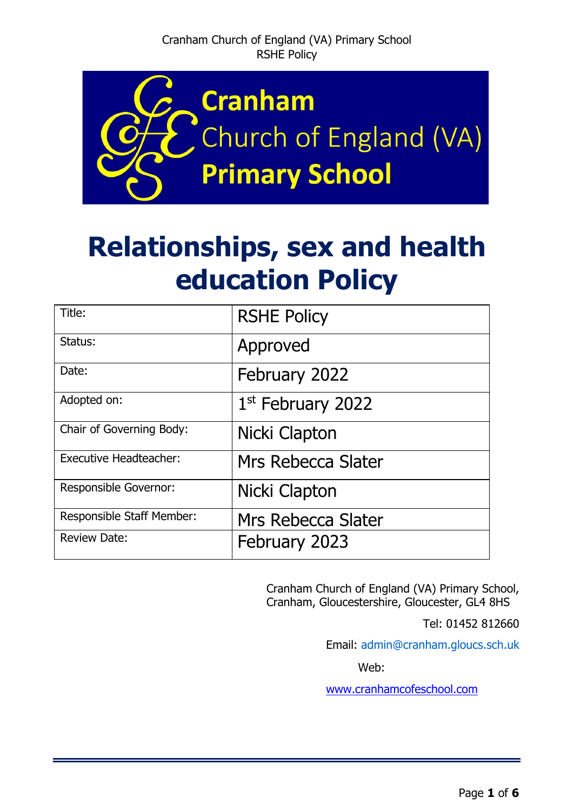

# **Relationships, sex and health education Policy**

| Title:                        | <b>RSHE Policy</b>            |
|-------------------------------|-------------------------------|
| Status:                       | Approved                      |
| Date:                         | February 2022                 |
| Adopted on:                   | 1 <sup>st</sup> February 2022 |
| Chair of Governing Body:      | Nicki Clapton                 |
| <b>Executive Headteacher:</b> | Mrs Rebecca Slater            |
| <b>Responsible Governor:</b>  | Nicki Clapton                 |
| Responsible Staff Member:     | Mrs Rebecca Slater            |
| <b>Review Date:</b>           | February 2023                 |

Cranham Church of England (VA) Primary School, Cranham, Gloucestershire, Gloucester, GL4 8HS

Tel: 01452 812660

Email: [admin@cranham.gloucs.sch.uk](mailto:admin@cranham.gloucs.sch.uk) 

Web:

[www.cranhamcofeschool.com](http://www.cranhamcofeschool.com/)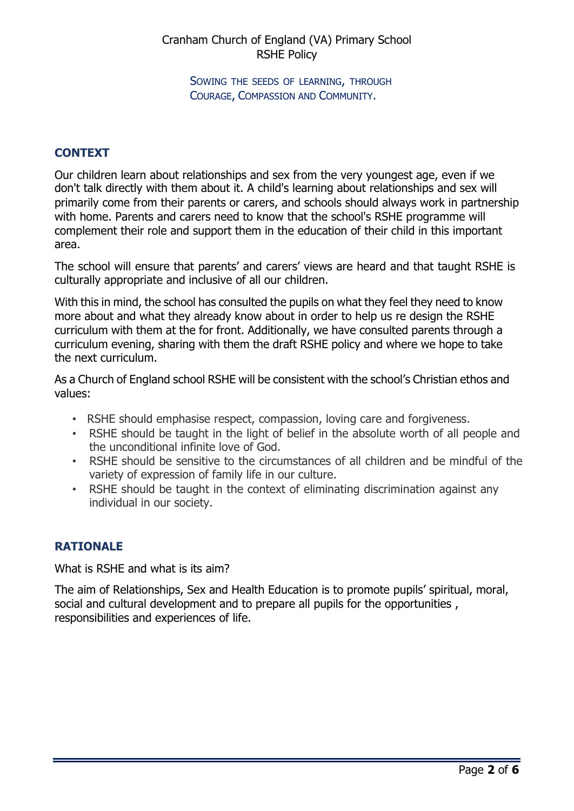SOWING THE SEEDS OF LEARNING, THROUGH COURAGE, COMPASSION AND COMMUNITY.

#### **CONTEXT**

Our children learn about relationships and sex from the very youngest age, even if we don't talk directly with them about it. A child's learning about relationships and sex will primarily come from their parents or carers, and schools should always work in partnership with home. Parents and carers need to know that the school's RSHE programme will complement their role and support them in the education of their child in this important area.

The school will ensure that parents' and carers' views are heard and that taught RSHE is culturally appropriate and inclusive of all our children.

With this in mind, the school has consulted the pupils on what they feel they need to know more about and what they already know about in order to help us re design the RSHE curriculum with them at the for front. Additionally, we have consulted parents through a curriculum evening, sharing with them the draft RSHE policy and where we hope to take the next curriculum.

As a Church of England school RSHE will be consistent with the school's Christian ethos and values:

- RSHE should emphasise respect, compassion, loving care and forgiveness.
- RSHE should be taught in the light of belief in the absolute worth of all people and the unconditional infinite love of God.
- RSHE should be sensitive to the circumstances of all children and be mindful of the variety of expression of family life in our culture.
- RSHE should be taught in the context of eliminating discrimination against any individual in our society.

## **RATIONALE**

What is RSHE and what is its aim?

The aim of Relationships, Sex and Health Education is to promote pupils' spiritual, moral, social and cultural development and to prepare all pupils for the opportunities , responsibilities and experiences of life.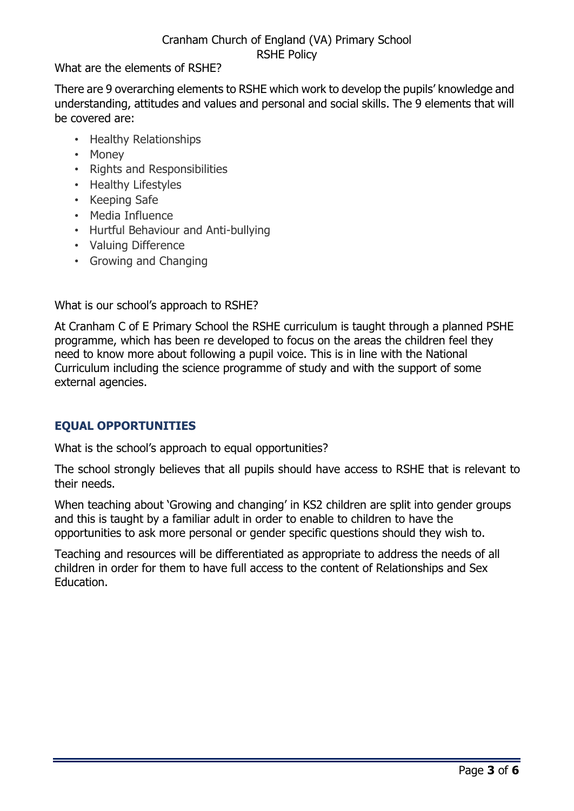What are the elements of RSHE?

There are 9 overarching elements to RSHE which work to develop the pupils' knowledge and understanding, attitudes and values and personal and social skills. The 9 elements that will be covered are:

- Healthy Relationships
- Money
- Rights and Responsibilities
- Healthy Lifestyles
- Keeping Safe
- Media Influence
- Hurtful Behaviour and Anti-bullying
- Valuing Difference
- Growing and Changing

What is our school's approach to RSHE?

At Cranham C of E Primary School the RSHE curriculum is taught through a planned PSHE programme, which has been re developed to focus on the areas the children feel they need to know more about following a pupil voice. This is in line with the National Curriculum including the science programme of study and with the support of some external agencies.

## **EQUAL OPPORTUNITIES**

What is the school's approach to equal opportunities?

The school strongly believes that all pupils should have access to RSHE that is relevant to their needs.

When teaching about 'Growing and changing' in KS2 children are split into gender groups and this is taught by a familiar adult in order to enable to children to have the opportunities to ask more personal or gender specific questions should they wish to.

Teaching and resources will be differentiated as appropriate to address the needs of all children in order for them to have full access to the content of Relationships and Sex Education.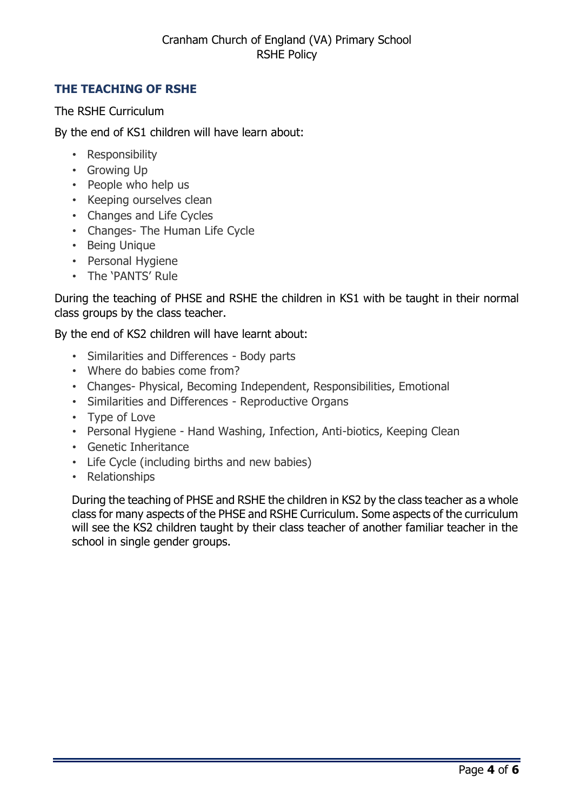## **THE TEACHING OF RSHE**

The RSHE Curriculum

By the end of KS1 children will have learn about:

- Responsibility
- Growing Up
- People who help us
- Keeping ourselves clean
- Changes and Life Cycles
- Changes- The Human Life Cycle
- Being Unique
- Personal Hygiene
- The 'PANTS' Rule

During the teaching of PHSE and RSHE the children in KS1 with be taught in their normal class groups by the class teacher.

By the end of KS2 children will have learnt about:

- Similarities and Differences Body parts
- Where do babies come from?
- Changes- Physical, Becoming Independent, Responsibilities, Emotional
- Similarities and Differences Reproductive Organs
- Type of Love
- Personal Hygiene Hand Washing, Infection, Anti-biotics, Keeping Clean
- Genetic Inheritance
- Life Cycle (including births and new babies)
- Relationships

During the teaching of PHSE and RSHE the children in KS2 by the class teacher as a whole class for many aspects of the PHSE and RSHE Curriculum. Some aspects of the curriculum will see the KS2 children taught by their class teacher of another familiar teacher in the school in single gender groups.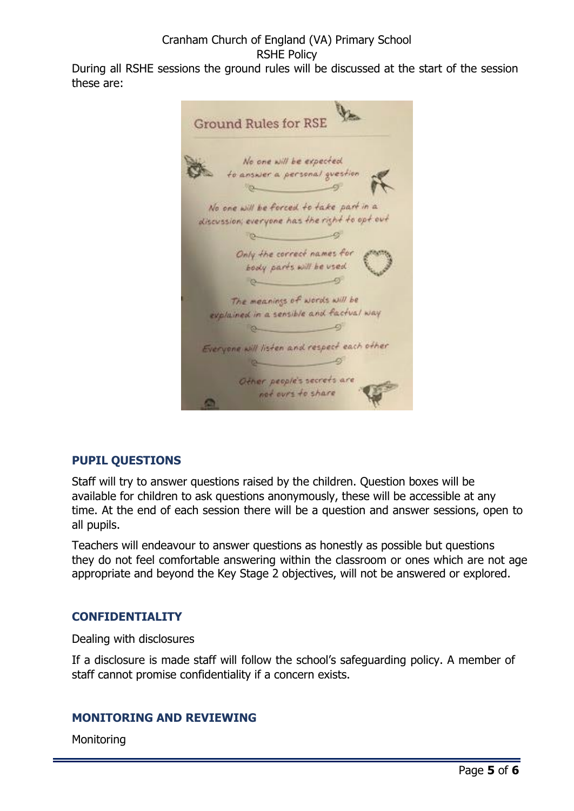During all RSHE sessions the ground rules will be discussed at the start of the session these are:



## **PUPIL QUESTIONS**

Staff will try to answer questions raised by the children. Question boxes will be available for children to ask questions anonymously, these will be accessible at any time. At the end of each session there will be a question and answer sessions, open to all pupils.

Teachers will endeavour to answer questions as honestly as possible but questions they do not feel comfortable answering within the classroom or ones which are not age appropriate and beyond the Key Stage 2 objectives, will not be answered or explored.

## **CONFIDENTIALITY**

Dealing with disclosures

If a disclosure is made staff will follow the school's safeguarding policy. A member of staff cannot promise confidentiality if a concern exists.

## **MONITORING AND REVIEWING**

**Monitoring**